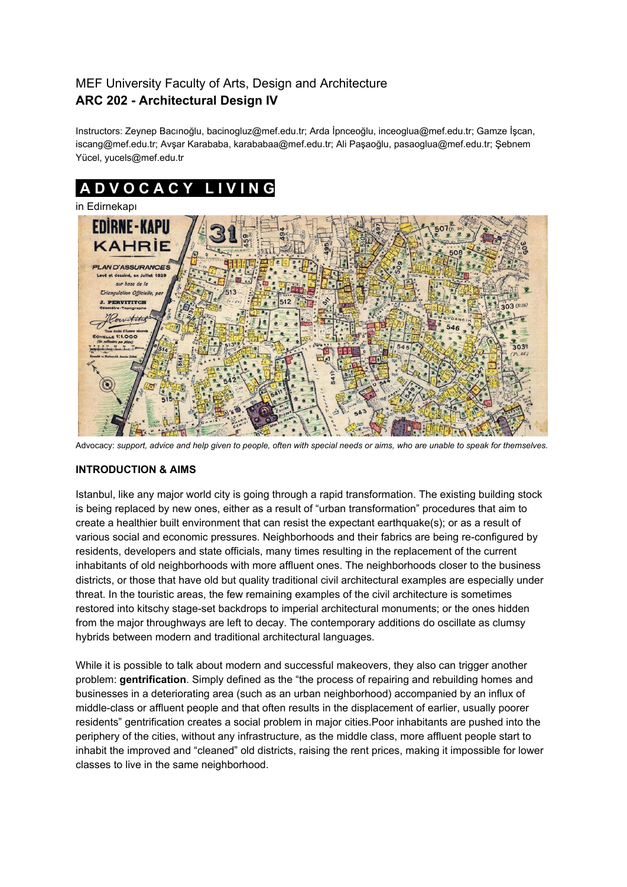# MEF University Faculty of Arts, Design and Architecture **ARC 202 - Architectural Design IV**

Instructors: Zeynep Bacınoğlu, bacinogluz@mef.edu.tr; Arda İpnceoğlu, inceoglua@mef.edu.tr; Gamze İşcan, iscang@mef.edu.tr; Avşar Karababa, karababaa@mef.edu.tr; Ali Paşaoğlu, pasaoglua@mef.edu.tr; Şebnem Yücel, yucels@mef.edu.tr

# **A D V O C A C Y L I V I N G** in Edirnekapı



Advocacy: support, advice and help given to people, often with special needs or aims, who are unable to speak for themselves.

# **INTRODUCTION & AIMS**

Istanbul, like any major world city is going through a rapid transformation. The existing building stock is being replaced by new ones, either as a result of "urban transformation" procedures that aim to create a healthier built environment that can resist the expectant earthquake(s); or as a result of various social and economic pressures. Neighborhoods and their fabrics are being re-configured by residents, developers and state officials, many times resulting in the replacement of the current inhabitants of old neighborhoods with more affluent ones. The neighborhoods closer to the business districts, or those that have old but quality traditional civil architectural examples are especially under threat. In the touristic areas, the few remaining examples of the civil architecture is sometimes restored into kitschy stage-set backdrops to imperial architectural monuments; or the ones hidden from the major throughways are left to decay. The contemporary additions do oscillate as clumsy hybrids between modern and traditional architectural languages.

While it is possible to talk about modern and successful makeovers, they also can trigger another problem: **gentrification**. Simply defined as the "the process of repairing and rebuilding homes and businesses in a deteriorating area (such as an urban neighborhood) accompanied by an influx of middle-class or affluent people and that often results in the displacement of earlier, usually poorer residents" gentrification creates a social problem in major cities.Poor inhabitants are pushed into the periphery of the cities, without any infrastructure, as the middle class, more affluent people start to inhabit the improved and "cleaned" old districts, raising the rent prices, making it impossible for lower classes to live in the same neighborhood.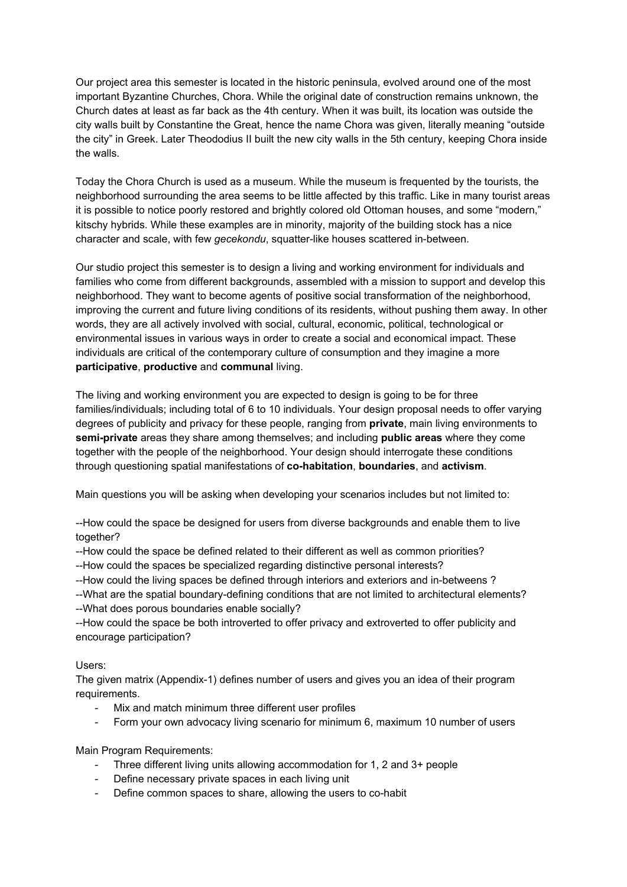Our project area this semester is located in the historic peninsula, evolved around one of the most important Byzantine Churches, Chora. While the original date of construction remains unknown, the Church dates at least as far back as the 4th century. When it was built, its location was outside the city walls built by Constantine the Great, hence the name Chora was given, literally meaning "outside the city" in Greek. Later Theododius II built the new city walls in the 5th century, keeping Chora inside the walls.

Today the Chora Church is used as a museum. While the museum is frequented by the tourists, the neighborhood surrounding the area seems to be little affected by this traffic. Like in many tourist areas it is possible to notice poorly restored and brightly colored old Ottoman houses, and some "modern," kitschy hybrids. While these examples are in minority, majority of the building stock has a nice character and scale, with few *gecekondu*, squatter-like houses scattered in-between.

Our studio project this semester is to design a living and working environment for individuals and families who come from different backgrounds, assembled with a mission to support and develop this neighborhood. They want to become agents of positive social transformation of the neighborhood, improving the current and future living conditions of its residents, without pushing them away. In other words, they are all actively involved with social, cultural, economic, political, technological or environmental issues in various ways in order to create a social and economical impact. These individuals are critical of the contemporary culture of consumption and they imagine a more **participative**, **productive** and **communal** living.

The living and working environment you are expected to design is going to be for three families/individuals; including total of 6 to 10 individuals. Your design proposal needs to offer varying degrees of publicity and privacy for these people, ranging from **private**, main living environments to **semi-private** areas they share among themselves; and including **public areas** where they come together with the people of the neighborhood. Your design should interrogate these conditions through questioning spatial manifestations of **co-habitation**, **boundaries**, and **activism**.

Main questions you will be asking when developing your scenarios includes but not limited to:

--How could the space be designed for users from diverse backgrounds and enable them to live together?

--How could the space be defined related to their different as well as common priorities?

--How could the spaces be specialized regarding distinctive personal interests?

--How could the living spaces be defined through interiors and exteriors and in-betweens ?

--What are the spatial boundary-defining conditions that are not limited to architectural elements? --What does porous boundaries enable socially?

--How could the space be both introverted to offer privacy and extroverted to offer publicity and encourage participation?

### Users:

The given matrix (Appendix-1) defines number of users and gives you an idea of their program requirements.

- Mix and match minimum three different user profiles
- Form your own advocacy living scenario for minimum 6, maximum 10 number of users

Main Program Requirements:

- Three different living units allowing accommodation for 1, 2 and 3+ people
- Define necessary private spaces in each living unit
- Define common spaces to share, allowing the users to co-habit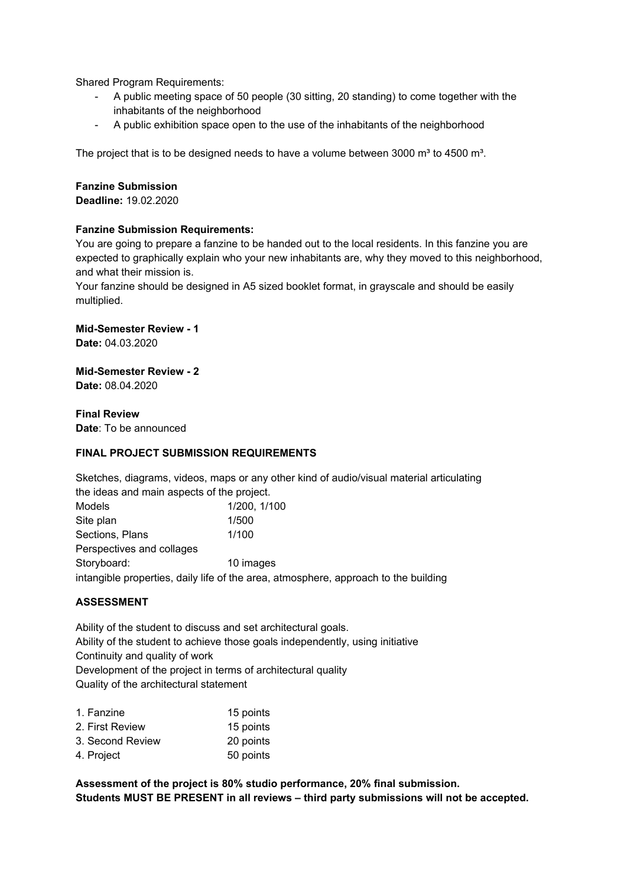Shared Program Requirements:

- A public meeting space of 50 people (30 sitting, 20 standing) to come together with the inhabitants of the neighborhood
- A public exhibition space open to the use of the inhabitants of the neighborhood

The project that is to be designed needs to have a volume between 3000  $m^3$  to 4500  $m^3$ .

# **Fanzine Submission**

**Deadline:** 19.02.2020

# **Fanzine Submission Requirements:**

You are going to prepare a fanzine to be handed out to the local residents. In this fanzine you are expected to graphically explain who your new inhabitants are, why they moved to this neighborhood, and what their mission is.

Your fanzine should be designed in A5 sized booklet format, in grayscale and should be easily multiplied.

**Mid-Semester Review - 1**

**Date:** 04.03.2020

**Mid-Semester Review - 2 Date:** 08.04.2020

**Final Review Date**: To be announced

## **FINAL PROJECT SUBMISSION REQUIREMENTS**

Sketches, diagrams, videos, maps or any other kind of audio/visual material articulating the ideas and main aspects of the project.

| Models                    | 1/200, 1/100                                                                        |
|---------------------------|-------------------------------------------------------------------------------------|
| Site plan                 | 1/500                                                                               |
| Sections, Plans           | 1/100                                                                               |
| Perspectives and collages |                                                                                     |
| Storyboard:               | 10 images                                                                           |
|                           | intangible properties, daily life of the area, atmosphere, approach to the building |

### **ASSESSMENT**

Ability of the student to discuss and set architectural goals. Ability of the student to achieve those goals independently, using initiative Continuity and quality of work Development of the project in terms of architectural quality Quality of the architectural statement

| 15 points |
|-----------|
| 15 points |
| 20 points |
| 50 points |
|           |

**Assessment of the project is 80% studio performance, 20% final submission. Students MUST BE PRESENT in all reviews – third party submissions will not be accepted.**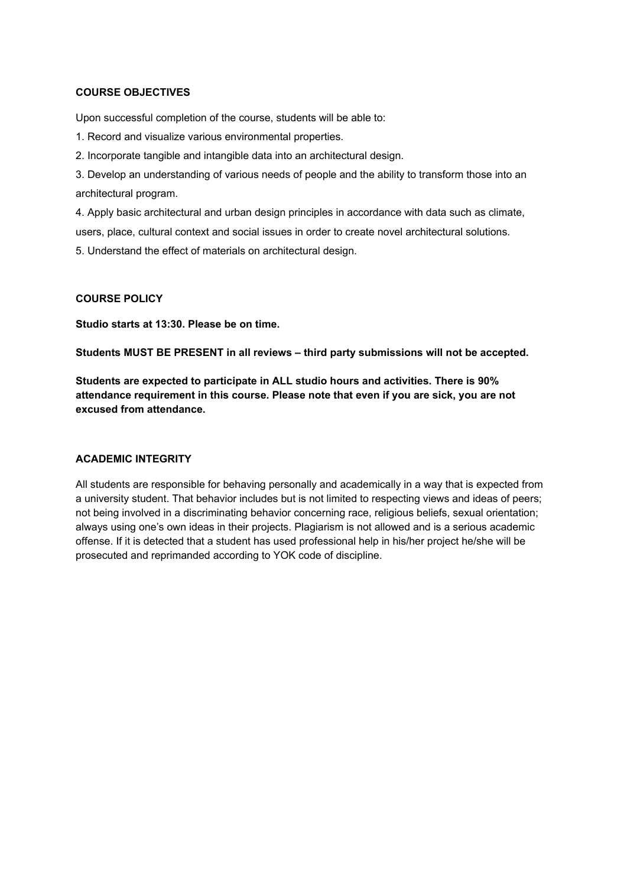#### **COURSE OBJECTIVES**

Upon successful completion of the course, students will be able to:

1. Record and visualize various environmental properties.

2. Incorporate tangible and intangible data into an architectural design.

3. Develop an understanding of various needs of people and the ability to transform those into an architectural program.

4. Apply basic architectural and urban design principles in accordance with data such as climate, users, place, cultural context and social issues in order to create novel architectural solutions.

5. Understand the effect of materials on architectural design.

### **COURSE POLICY**

**Studio starts at 13:30. Please be on time.**

**Students MUST BE PRESENT in all reviews – third party submissions will not be accepted.**

**Students are expected to participate in ALL studio hours and activities. There is 90% attendance requirement in this course. Please note that even if you are sick, you are not excused from attendance.**

### **ACADEMIC INTEGRITY**

All students are responsible for behaving personally and academically in a way that is expected from a university student. That behavior includes but is not limited to respecting views and ideas of peers; not being involved in a discriminating behavior concerning race, religious beliefs, sexual orientation; always using one's own ideas in their projects. Plagiarism is not allowed and is a serious academic offense. If it is detected that a student has used professional help in his/her project he/she will be prosecuted and reprimanded according to YOK code of discipline.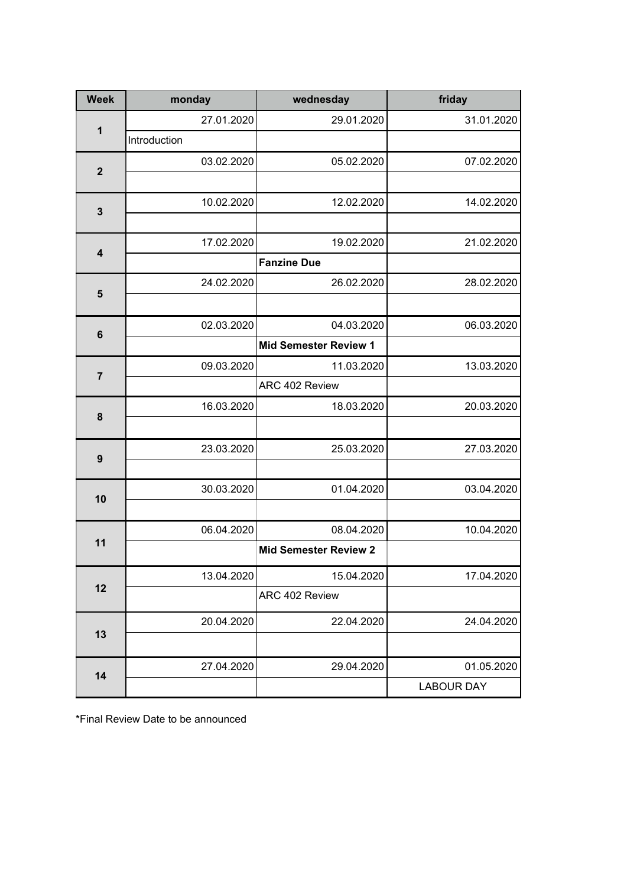| <b>Week</b>             | monday       | wednesday                    | friday            |
|-------------------------|--------------|------------------------------|-------------------|
| 1                       | 27.01.2020   | 29.01.2020                   | 31.01.2020        |
|                         | Introduction |                              |                   |
| $\overline{2}$          | 03.02.2020   | 05.02.2020                   | 07.02.2020        |
|                         |              |                              |                   |
| $\mathbf{3}$            | 10.02.2020   | 12.02.2020                   | 14.02.2020        |
|                         |              |                              |                   |
| $\overline{\mathbf{4}}$ | 17.02.2020   | 19.02.2020                   | 21.02.2020        |
|                         |              | <b>Fanzine Due</b>           |                   |
|                         | 24.02.2020   | 26.02.2020                   | 28.02.2020        |
| 5                       |              |                              |                   |
| $6\phantom{1}6$         | 02.03.2020   | 04.03.2020                   | 06.03.2020        |
|                         |              | <b>Mid Semester Review 1</b> |                   |
| $\overline{7}$          | 09.03.2020   | 11.03.2020                   | 13.03.2020        |
|                         |              | ARC 402 Review               |                   |
| 8                       | 16.03.2020   | 18.03.2020                   | 20.03.2020        |
|                         |              |                              |                   |
| $\boldsymbol{9}$        | 23.03.2020   | 25.03.2020                   | 27.03.2020        |
|                         |              |                              |                   |
| 10                      | 30.03.2020   | 01.04.2020                   | 03.04.2020        |
|                         |              |                              |                   |
|                         | 06.04.2020   | 08.04.2020                   | 10.04.2020        |
| 11                      |              | <b>Mid Semester Review 2</b> |                   |
|                         | 13.04.2020   | 15.04.2020                   | 17.04.2020        |
| 12                      |              | ARC 402 Review               |                   |
|                         | 20.04.2020   | 22.04.2020                   | 24.04.2020        |
| 13                      |              |                              |                   |
|                         | 27.04.2020   | 29.04.2020                   | 01.05.2020        |
| 14                      |              |                              | <b>LABOUR DAY</b> |
|                         |              |                              |                   |

\*Final Review Date to be announced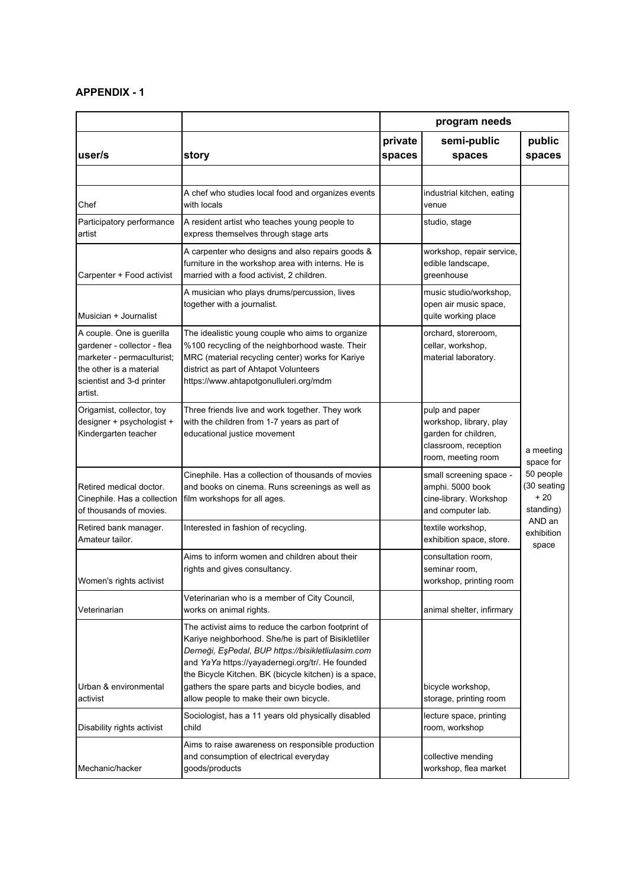# **APPENDIX - 1**

|                                                                                                                                                           | program needs                                                                                                                                                                                                                                                                                                                                                                |                   |                                                                                                                 |                                                |
|-----------------------------------------------------------------------------------------------------------------------------------------------------------|------------------------------------------------------------------------------------------------------------------------------------------------------------------------------------------------------------------------------------------------------------------------------------------------------------------------------------------------------------------------------|-------------------|-----------------------------------------------------------------------------------------------------------------|------------------------------------------------|
| user/s                                                                                                                                                    | story                                                                                                                                                                                                                                                                                                                                                                        | private<br>spaces | semi-public<br>spaces                                                                                           | public<br>spaces                               |
|                                                                                                                                                           |                                                                                                                                                                                                                                                                                                                                                                              |                   |                                                                                                                 |                                                |
| Chef                                                                                                                                                      | A chef who studies local food and organizes events<br>with locals                                                                                                                                                                                                                                                                                                            |                   | industrial kitchen, eating<br>venue                                                                             |                                                |
| Participatory performance<br>artist                                                                                                                       | A resident artist who teaches young people to<br>express themselves through stage arts                                                                                                                                                                                                                                                                                       |                   | studio, stage                                                                                                   |                                                |
| Carpenter + Food activist                                                                                                                                 | A carpenter who designs and also repairs goods &<br>furniture in the workshop area with interns. He is<br>married with a food activist, 2 children.                                                                                                                                                                                                                          |                   | workshop, repair service,<br>edible landscape,<br>greenhouse                                                    |                                                |
| Musician + Journalist                                                                                                                                     | A musician who plays drums/percussion, lives<br>together with a journalist.                                                                                                                                                                                                                                                                                                  |                   | music studio/workshop,<br>open air music space,<br>quite working place                                          |                                                |
| A couple. One is guerilla<br>gardener - collector - flea<br>marketer - permaculturist;<br>the other is a material<br>scientist and 3-d printer<br>artist. | The idealistic young couple who aims to organize<br>%100 recycling of the neighborhood waste. Their<br>MRC (material recycling center) works for Kariye<br>district as part of Ahtapot Volunteers<br>https://www.ahtapotgonulluleri.org/mdm                                                                                                                                  |                   | orchard, storeroom,<br>cellar, workshop,<br>material laboratory.                                                |                                                |
| Origamist, collector, toy<br>designer + psychologist +<br>Kindergarten teacher                                                                            | Three friends live and work together. They work<br>with the children from 1-7 years as part of<br>educational justice movement                                                                                                                                                                                                                                               |                   | pulp and paper<br>workshop, library, play<br>garden for children,<br>classroom, reception<br>room, meeting room | a meeting<br>space for                         |
| Retired medical doctor.<br>Cinephile. Has a collection<br>of thousands of movies.                                                                         | Cinephile. Has a collection of thousands of movies<br>and books on cinema. Runs screenings as well as<br>film workshops for all ages.                                                                                                                                                                                                                                        |                   | small screening space -<br>amphi. 5000 book<br>cine-library. Workshop<br>and computer lab.                      | 50 people<br>(30 seating<br>$+20$<br>standing) |
| Retired bank manager.<br>Amateur tailor.                                                                                                                  | Interested in fashion of recycling.                                                                                                                                                                                                                                                                                                                                          |                   | textile workshop,<br>exhibition space, store.                                                                   | AND an<br>exhibition<br>space                  |
| Women's rights activist                                                                                                                                   | Aims to inform women and children about their<br>rights and gives consultancy.                                                                                                                                                                                                                                                                                               |                   | consultation room,<br>seminar room,<br>workshop, printing room                                                  |                                                |
| Veterinarian                                                                                                                                              | Veterinarian who is a member of City Council,<br>works on animal rights.                                                                                                                                                                                                                                                                                                     |                   | animal shelter, infirmary                                                                                       |                                                |
| Urban & environmental<br>activist                                                                                                                         | The activist aims to reduce the carbon footprint of<br>Kariye neighborhood. She/he is part of Bisikletliler<br>Derneği, EşPedal, BUP https://bisikletliulasim.com<br>and YaYa https://yayadernegi.org/tr/. He founded<br>the Bicycle Kitchen. BK (bicycle kitchen) is a space,<br>gathers the spare parts and bicycle bodies, and<br>allow people to make their own bicycle. |                   | bicycle workshop,<br>storage, printing room                                                                     |                                                |
| Disability rights activist                                                                                                                                | Sociologist, has a 11 years old physically disabled<br>child                                                                                                                                                                                                                                                                                                                 |                   | lecture space, printing<br>room, workshop                                                                       |                                                |
| Mechanic/hacker                                                                                                                                           | Aims to raise awareness on responsible production<br>and consumption of electrical everyday<br>goods/products                                                                                                                                                                                                                                                                |                   | collective mending<br>workshop, flea market                                                                     |                                                |